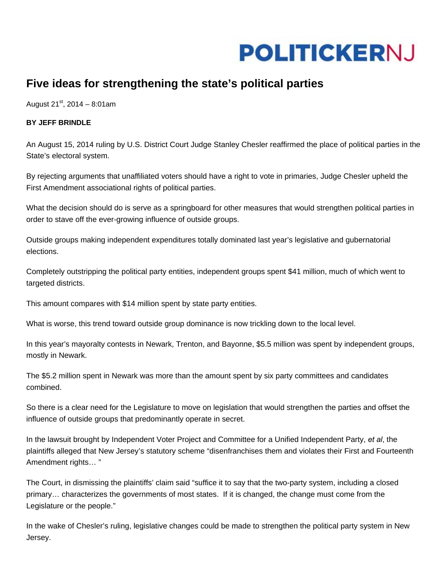

## **Five ideas for strengthening the state's political parties**

August  $21^{st}$ , 2014 – 8:01am

## **BY JEFF BRINDLE**

An August 15, 2014 ruling by U.S. District Court Judge Stanley Chesler reaffirmed the place of political parties in the State's electoral system.

By rejecting arguments that unaffiliated voters should have a right to vote in primaries, Judge Chesler upheld the First Amendment associational rights of political parties.

What the decision should do is serve as a springboard for other measures that would strengthen political parties in order to stave off the ever-growing influence of outside groups.

Outside groups making independent expenditures totally dominated last year's legislative and gubernatorial elections.

Completely outstripping the political party entities, independent groups spent \$41 million, much of which went to targeted districts.

This amount compares with \$14 million spent by state party entities.

What is worse, this trend toward outside group dominance is now trickling down to the local level.

In this year's mayoralty contests in Newark, Trenton, and Bayonne, \$5.5 million was spent by independent groups, mostly in Newark.

The \$5.2 million spent in Newark was more than the amount spent by six party committees and candidates combined.

So there is a clear need for the Legislature to move on legislation that would strengthen the parties and offset the influence of outside groups that predominantly operate in secret.

In the lawsuit brought by Independent Voter Project and Committee for a Unified Independent Party, *et al*, the plaintiffs alleged that New Jersey's statutory scheme "disenfranchises them and violates their First and Fourteenth Amendment rights… "

The Court, in dismissing the plaintiffs' claim said "suffice it to say that the two-party system, including a closed primary… characterizes the governments of most states. If it is changed, the change must come from the Legislature or the people."

In the wake of Chesler's ruling, legislative changes could be made to strengthen the political party system in New Jersey.